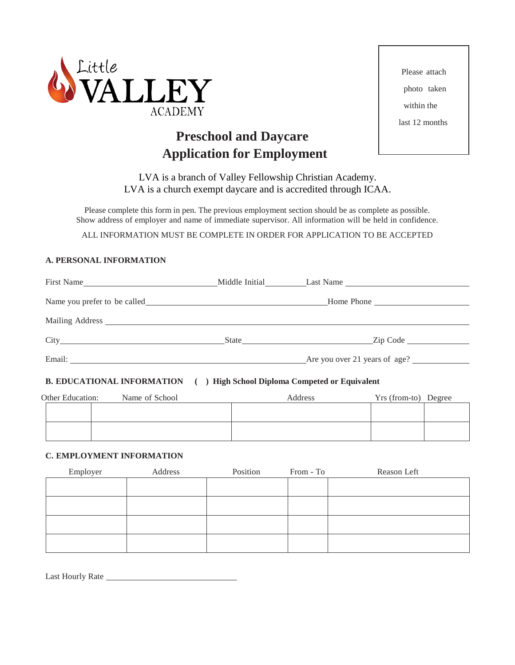

# **Preschool and Daycare Application for Employment**

Please attach photo taken within the last 12 months

LVA is a branch of Valley Fellowship Christian Academy. LVA is a church exempt daycare and is accredited through ICAA.

Please complete this form in pen. The previous employment section should be as complete as possible. Show address of employer and name of immediate supervisor. All information will be held in confidence.

ALL INFORMATION MUST BE COMPLETE IN ORDER FOR APPLICATION TO BE ACCEPTED

# **A. PERSONAL INFORMATION**

| First Name | Middle Initial Last Name      |
|------------|-------------------------------|
|            | Home Phone                    |
|            |                               |
|            | State Zip Code                |
|            | Are you over 21 years of age? |

# **B. EDUCATIONAL INFORMATION ( ) High School Diploma Competed or Equivalent**

| Other Education: | Name of School | Address | Yrs (from-to) Degree |  |
|------------------|----------------|---------|----------------------|--|
|                  |                |         |                      |  |
|                  |                |         |                      |  |
|                  |                |         |                      |  |
|                  |                |         |                      |  |

# **C. EMPLOYMENT INFORMATION**

| Employer | Address | Position | From - To | Reason Left |
|----------|---------|----------|-----------|-------------|
|          |         |          |           |             |
|          |         |          |           |             |
|          |         |          |           |             |
|          |         |          |           |             |
|          |         |          |           |             |

Last Hourly Rate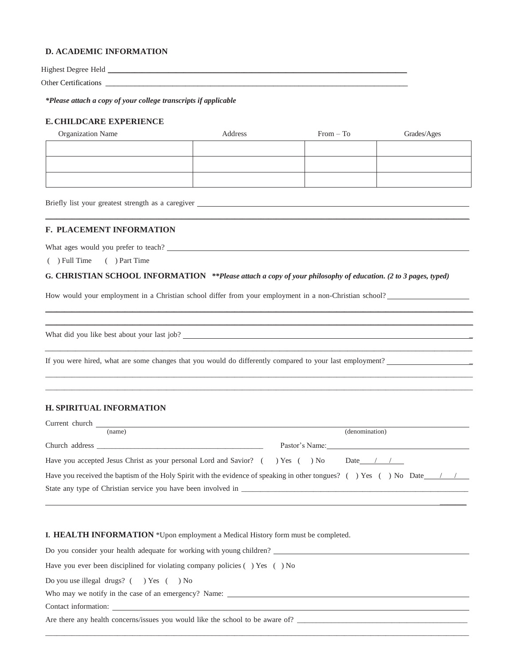#### **D. ACADEMIC INFORMATION**

Highest Degree Held \_\_\_\_\_\_\_\_\_\_\_\_\_\_\_\_\_\_\_\_\_\_\_\_\_\_\_\_\_\_\_\_\_\_\_\_\_\_\_\_\_\_\_\_\_\_\_\_\_\_\_\_\_\_\_\_\_\_\_\_\_\_\_\_\_\_\_\_\_\_\_\_\_\_\_\_\_\_\_

Other Certifications \_\_\_\_\_\_\_\_\_\_\_\_\_\_\_\_\_\_\_\_\_\_\_\_\_\_\_\_\_\_\_\_\_\_\_\_\_\_\_\_\_\_\_\_\_\_\_\_\_\_\_\_\_\_\_\_\_\_\_\_\_\_\_\_\_\_\_\_\_\_\_\_

*\*Please attach a copy of your college transcripts if applicable*

## **E. CHILDCARE EXPERIENCE**

| <b>Organization Name</b> | Address | $From - To$ | Grades/Ages |
|--------------------------|---------|-------------|-------------|
|                          |         |             |             |
|                          |         |             |             |
|                          |         |             |             |
|                          |         |             |             |

\_\_\_\_\_\_\_\_\_\_\_\_\_\_\_\_\_\_\_\_\_\_\_\_\_\_\_\_\_\_\_\_\_\_\_\_\_\_\_\_\_\_\_\_\_\_\_\_\_\_\_\_\_\_\_\_\_\_\_\_\_\_\_\_\_\_\_\_\_\_\_\_\_\_\_\_\_\_\_\_\_\_\_\_\_\_\_\_\_\_\_\_\_\_\_\_\_\_\_\_\_\_\_\_\_\_\_\_\_\_\_\_

Briefly list your greatest strength as a caregiver **expression of the case of the case of the case of the case of the case of the case of the case of the case of the case of the case of the case of the case of the case of** 

#### **F. PLACEMENT INFORMATION**

What ages would you prefer to teach? **Show that are seen as a set of the set of the set of the set of the set of the set of the set of the set of the set of the set of the set of the set of the set of the set of the set of** 

( ) Full Time ( ) Part Time

## **G. CHRISTIAN SCHOOL INFORMATION** *\*\*Please attach a copy of your philosophy of education. (2 to 3 pages, typed)*

\_\_\_\_\_\_\_\_\_\_\_\_\_\_\_\_\_\_\_\_\_\_\_\_\_\_\_\_\_\_\_\_\_\_\_\_\_\_\_\_\_\_\_\_\_\_\_\_\_\_\_\_\_\_\_\_\_\_\_\_\_\_\_\_\_\_\_\_\_\_\_\_\_\_\_\_\_\_\_\_\_\_\_\_\_\_\_\_\_\_\_\_\_\_\_\_\_\_\_\_\_\_\_\_\_\_\_\_\_\_\_\_\_ \_\_\_\_\_\_\_\_\_\_\_\_\_\_\_\_\_\_\_\_\_\_\_\_\_\_\_\_\_\_\_\_\_\_\_\_\_\_\_\_\_\_\_\_\_\_\_\_\_\_\_\_\_\_\_\_\_\_\_\_\_\_\_\_\_\_\_\_\_\_\_\_\_\_\_\_\_\_\_\_\_\_\_\_\_\_\_\_\_\_\_\_\_\_\_\_\_\_\_\_\_\_\_\_\_\_\_\_\_\_\_\_\_

\_\_\_\_\_\_\_\_\_\_\_\_\_\_\_\_\_\_\_\_\_\_\_\_\_\_\_\_\_\_\_\_\_\_\_\_\_\_\_\_\_\_\_\_\_\_\_\_\_\_\_\_\_\_\_\_\_\_\_\_\_\_\_\_\_\_\_\_\_\_\_\_\_\_\_\_\_\_\_\_\_\_\_\_\_\_\_\_\_\_\_\_\_\_\_\_\_\_\_\_\_\_\_\_\_\_\_\_\_\_\_\_\_

\_\_\_\_\_\_\_\_\_\_\_\_\_\_\_\_\_\_\_\_\_\_\_\_\_\_\_\_\_\_\_\_\_\_\_\_\_\_\_\_\_\_\_\_\_\_\_\_\_\_\_\_\_\_\_\_\_\_\_\_\_\_\_\_\_\_\_\_\_\_\_\_\_\_\_\_\_\_\_\_\_\_\_\_\_\_\_\_\_\_\_\_\_\_\_\_\_\_\_\_\_\_\_\_\_\_\_\_\_\_\_\_\_ \_\_\_\_\_\_\_\_\_\_\_\_\_\_\_\_\_\_\_\_\_\_\_\_\_\_\_\_\_\_\_\_\_\_\_\_\_\_\_\_\_\_\_\_\_\_\_\_\_\_\_\_\_\_\_\_\_\_\_\_\_\_\_\_\_\_\_\_\_\_\_\_\_\_\_\_\_\_\_\_\_\_\_\_\_\_\_\_\_\_\_\_\_\_\_\_\_\_\_\_\_\_\_\_\_\_\_\_\_\_\_\_\_

How would your employment in a Christian school differ from your employment in a non-Christian school?

What did you like best about your last job? \_

If you were hired, what are some changes that you would do differently compared to your last employment? \_

# **H. SPIRITUAL INFORMATION**

| Current church that the control of the control of the control of the control of the control of the control of the control of the control of the control of the control of the control of the control of the control of the con |                |  |  |
|--------------------------------------------------------------------------------------------------------------------------------------------------------------------------------------------------------------------------------|----------------|--|--|
| (name)                                                                                                                                                                                                                         | (denomination) |  |  |
| Church address experiences and the contract of the contract of the contract of the contract of the contract of the contract of the contract of the contract of the contract of the contract of the contract of the contract of | Pastor's Name: |  |  |
| Have you accepted Jesus Christ as your personal Lord and Savior? () Yes () No                                                                                                                                                  | Date / $/$     |  |  |
| Have you received the baptism of the Holy Spirit with the evidence of speaking in other tongues? () Yes () No Date $\frac{1}{2}$                                                                                               |                |  |  |
| State any type of Christian service you have been involved in                                                                                                                                                                  |                |  |  |

 $\mathcal{L}$ 

**I. HEALTH INFORMATION** \*Upon employment a Medical History form must be completed.

| Do you consider your health adequate for working with young children?                |  |  |
|--------------------------------------------------------------------------------------|--|--|
| Have you ever been disciplined for violating company policies $( \ )$ Yes $( \ )$ No |  |  |
| Do you use illegal drugs? $($ $)$ Yes $($ $)$ No                                     |  |  |
| Who may we notify in the case of an emergency? Name:                                 |  |  |
| Contact information:                                                                 |  |  |
| Are there any health concerns/issues you would like the school to be aware of?       |  |  |

\_\_\_\_\_\_\_\_\_\_\_\_\_\_\_\_\_\_\_\_\_\_\_\_\_\_\_\_\_\_\_\_\_\_\_\_\_\_\_\_\_\_\_\_\_\_\_\_\_\_\_\_\_\_\_\_\_\_\_\_\_\_\_\_\_\_\_\_\_\_\_\_\_\_\_\_\_\_\_\_\_\_\_\_\_\_\_\_\_\_\_\_\_\_\_\_\_\_\_\_\_\_\_\_\_\_\_\_\_\_\_\_